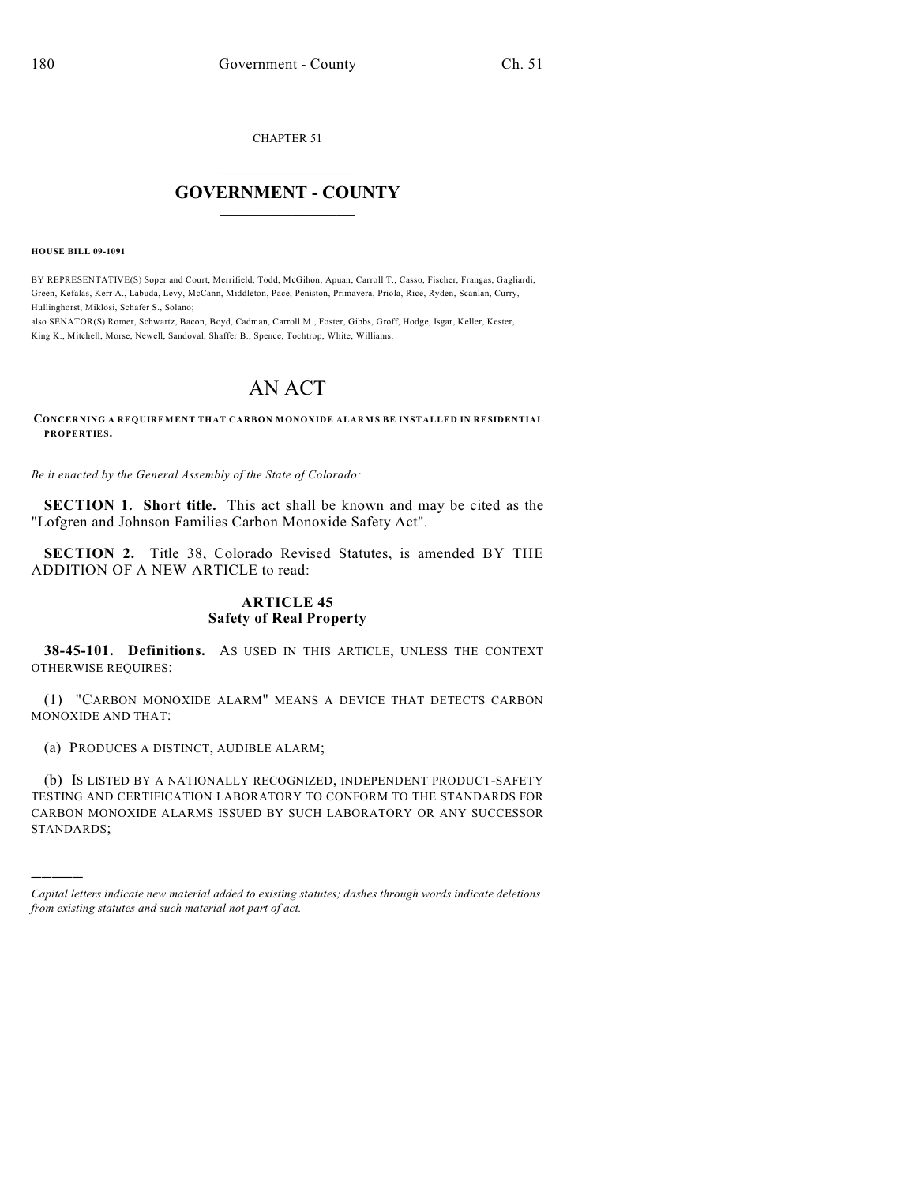CHAPTER 51

## $\mathcal{L}_\text{max}$  . The set of the set of the set of the set of the set of the set of the set of the set of the set of the set of the set of the set of the set of the set of the set of the set of the set of the set of the set **GOVERNMENT - COUNTY**  $\_$

**HOUSE BILL 09-1091**

)))))

BY REPRESENTATIVE(S) Soper and Court, Merrifield, Todd, McGihon, Apuan, Carroll T., Casso, Fischer, Frangas, Gagliardi, Green, Kefalas, Kerr A., Labuda, Levy, McCann, Middleton, Pace, Peniston, Primavera, Priola, Rice, Ryden, Scanlan, Curry, Hullinghorst, Miklosi, Schafer S., Solano;

also SENATOR(S) Romer, Schwartz, Bacon, Boyd, Cadman, Carroll M., Foster, Gibbs, Groff, Hodge, Isgar, Keller, Kester, King K., Mitchell, Morse, Newell, Sandoval, Shaffer B., Spence, Tochtrop, White, Williams.

## AN ACT

**CONCERNING A REQUIREMENT THAT CARBON MONOXIDE ALARMS BE INSTALLED IN RESIDENTIAL PROPERTIES.**

*Be it enacted by the General Assembly of the State of Colorado:*

**SECTION 1. Short title.** This act shall be known and may be cited as the "Lofgren and Johnson Families Carbon Monoxide Safety Act".

**SECTION 2.** Title 38, Colorado Revised Statutes, is amended BY THE ADDITION OF A NEW ARTICLE to read:

## **ARTICLE 45 Safety of Real Property**

**38-45-101. Definitions.** AS USED IN THIS ARTICLE, UNLESS THE CONTEXT OTHERWISE REQUIRES:

(1) "CARBON MONOXIDE ALARM" MEANS A DEVICE THAT DETECTS CARBON MONOXIDE AND THAT:

(a) PRODUCES A DISTINCT, AUDIBLE ALARM;

(b) IS LISTED BY A NATIONALLY RECOGNIZED, INDEPENDENT PRODUCT-SAFETY TESTING AND CERTIFICATION LABORATORY TO CONFORM TO THE STANDARDS FOR CARBON MONOXIDE ALARMS ISSUED BY SUCH LABORATORY OR ANY SUCCESSOR STANDARDS;

*Capital letters indicate new material added to existing statutes; dashes through words indicate deletions from existing statutes and such material not part of act.*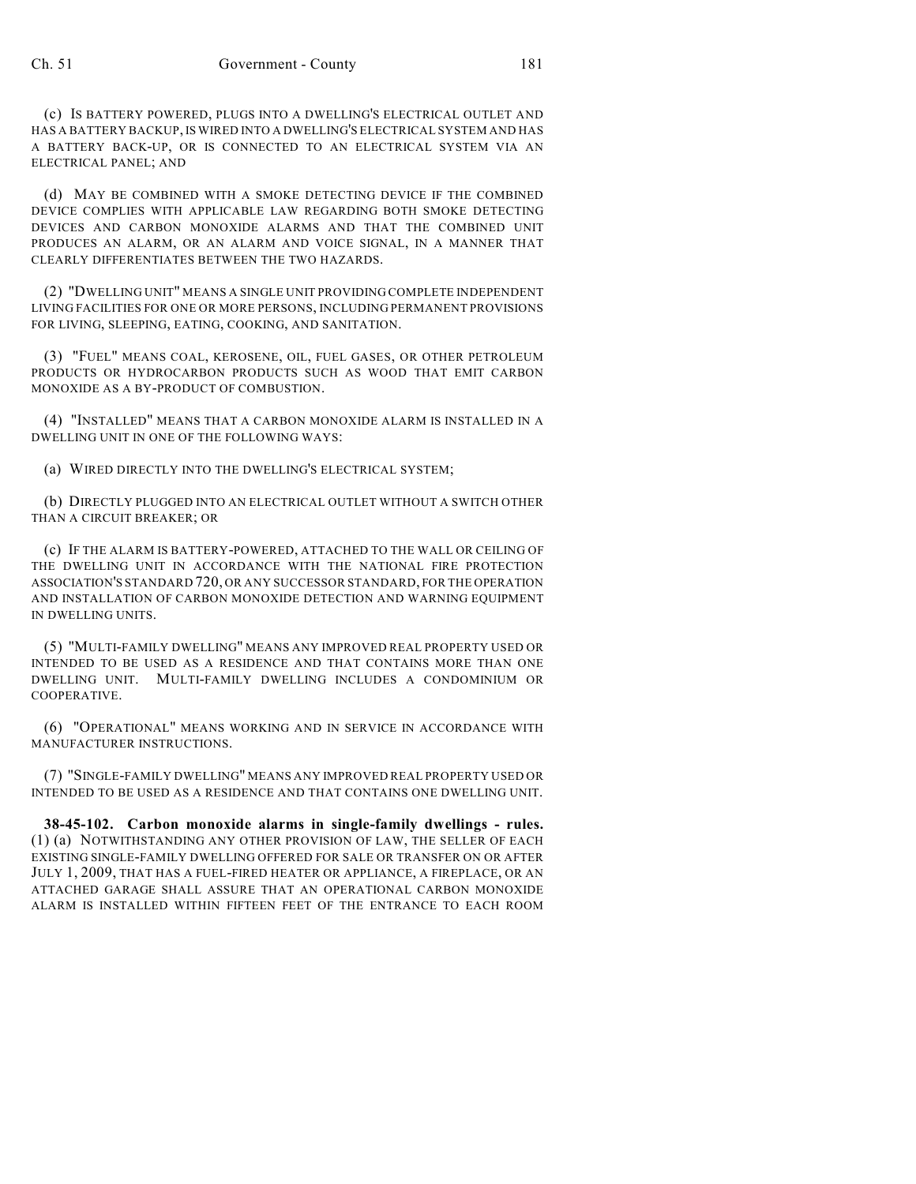(c) IS BATTERY POWERED, PLUGS INTO A DWELLING'S ELECTRICAL OUTLET AND HAS A BATTERY BACKUP, IS WIRED INTO A DWELLING'S ELECTRICAL SYSTEM AND HAS A BATTERY BACK-UP, OR IS CONNECTED TO AN ELECTRICAL SYSTEM VIA AN ELECTRICAL PANEL; AND

(d) MAY BE COMBINED WITH A SMOKE DETECTING DEVICE IF THE COMBINED DEVICE COMPLIES WITH APPLICABLE LAW REGARDING BOTH SMOKE DETECTING DEVICES AND CARBON MONOXIDE ALARMS AND THAT THE COMBINED UNIT PRODUCES AN ALARM, OR AN ALARM AND VOICE SIGNAL, IN A MANNER THAT CLEARLY DIFFERENTIATES BETWEEN THE TWO HAZARDS.

(2) "DWELLING UNIT" MEANS A SINGLE UNIT PROVIDING COMPLETE INDEPENDENT LIVING FACILITIES FOR ONE OR MORE PERSONS, INCLUDING PERMANENT PROVISIONS FOR LIVING, SLEEPING, EATING, COOKING, AND SANITATION.

(3) "FUEL" MEANS COAL, KEROSENE, OIL, FUEL GASES, OR OTHER PETROLEUM PRODUCTS OR HYDROCARBON PRODUCTS SUCH AS WOOD THAT EMIT CARBON MONOXIDE AS A BY-PRODUCT OF COMBUSTION.

(4) "INSTALLED" MEANS THAT A CARBON MONOXIDE ALARM IS INSTALLED IN A DWELLING UNIT IN ONE OF THE FOLLOWING WAYS:

(a) WIRED DIRECTLY INTO THE DWELLING'S ELECTRICAL SYSTEM;

(b) DIRECTLY PLUGGED INTO AN ELECTRICAL OUTLET WITHOUT A SWITCH OTHER THAN A CIRCUIT BREAKER; OR

(c) IF THE ALARM IS BATTERY-POWERED, ATTACHED TO THE WALL OR CEILING OF THE DWELLING UNIT IN ACCORDANCE WITH THE NATIONAL FIRE PROTECTION ASSOCIATION'S STANDARD 720, OR ANY SUCCESSOR STANDARD, FOR THE OPERATION AND INSTALLATION OF CARBON MONOXIDE DETECTION AND WARNING EQUIPMENT IN DWELLING UNITS.

(5) "MULTI-FAMILY DWELLING" MEANS ANY IMPROVED REAL PROPERTY USED OR INTENDED TO BE USED AS A RESIDENCE AND THAT CONTAINS MORE THAN ONE DWELLING UNIT. MULTI-FAMILY DWELLING INCLUDES A CONDOMINIUM OR COOPERATIVE.

(6) "OPERATIONAL" MEANS WORKING AND IN SERVICE IN ACCORDANCE WITH MANUFACTURER INSTRUCTIONS.

(7) "SINGLE-FAMILY DWELLING" MEANS ANY IMPROVED REAL PROPERTY USED OR INTENDED TO BE USED AS A RESIDENCE AND THAT CONTAINS ONE DWELLING UNIT.

**38-45-102. Carbon monoxide alarms in single-family dwellings - rules.** (1) (a) NOTWITHSTANDING ANY OTHER PROVISION OF LAW, THE SELLER OF EACH EXISTING SINGLE-FAMILY DWELLING OFFERED FOR SALE OR TRANSFER ON OR AFTER JULY 1, 2009, THAT HAS A FUEL-FIRED HEATER OR APPLIANCE, A FIREPLACE, OR AN ATTACHED GARAGE SHALL ASSURE THAT AN OPERATIONAL CARBON MONOXIDE ALARM IS INSTALLED WITHIN FIFTEEN FEET OF THE ENTRANCE TO EACH ROOM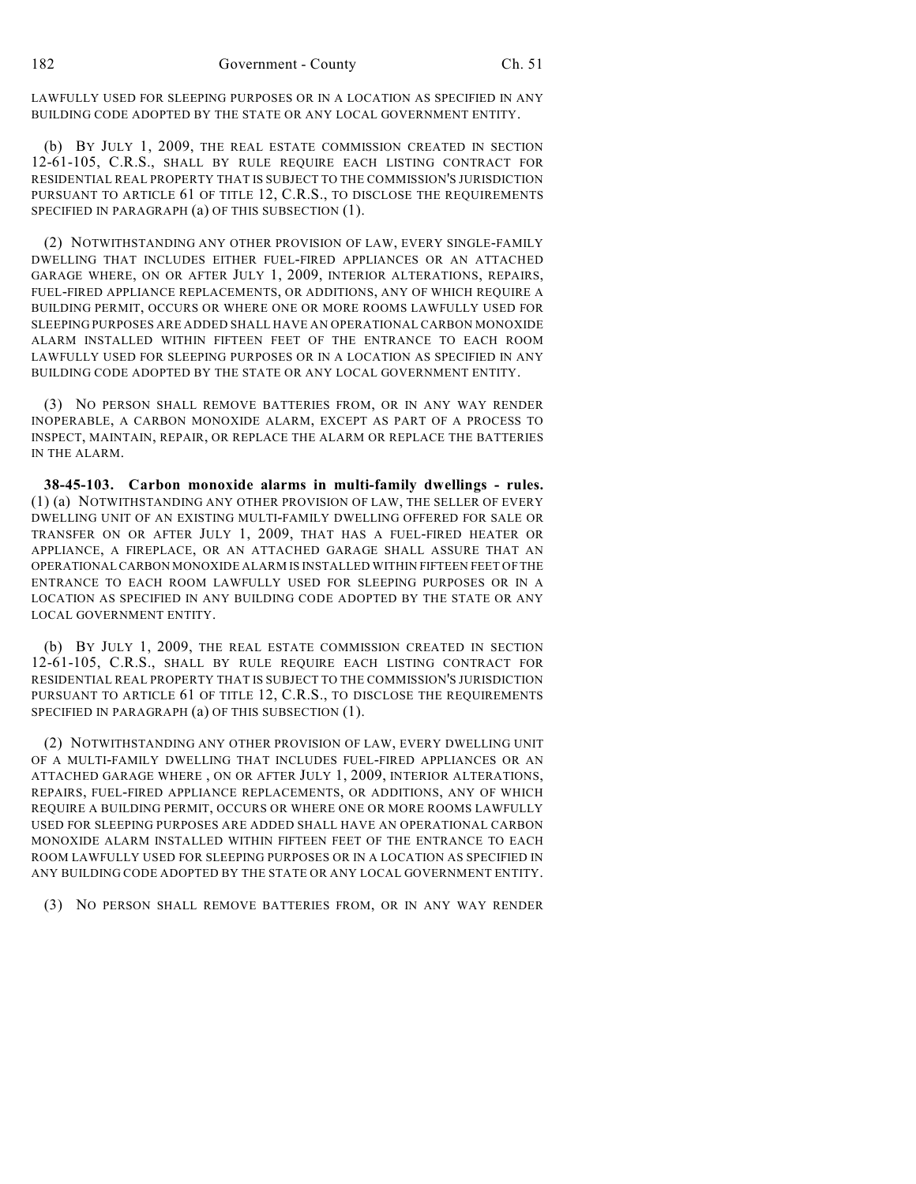LAWFULLY USED FOR SLEEPING PURPOSES OR IN A LOCATION AS SPECIFIED IN ANY BUILDING CODE ADOPTED BY THE STATE OR ANY LOCAL GOVERNMENT ENTITY.

(b) BY JULY 1, 2009, THE REAL ESTATE COMMISSION CREATED IN SECTION 12-61-105, C.R.S., SHALL BY RULE REQUIRE EACH LISTING CONTRACT FOR RESIDENTIAL REAL PROPERTY THAT IS SUBJECT TO THE COMMISSION'S JURISDICTION PURSUANT TO ARTICLE 61 OF TITLE 12, C.R.S., TO DISCLOSE THE REQUIREMENTS SPECIFIED IN PARAGRAPH (a) OF THIS SUBSECTION (1).

(2) NOTWITHSTANDING ANY OTHER PROVISION OF LAW, EVERY SINGLE-FAMILY DWELLING THAT INCLUDES EITHER FUEL-FIRED APPLIANCES OR AN ATTACHED GARAGE WHERE, ON OR AFTER JULY 1, 2009, INTERIOR ALTERATIONS, REPAIRS, FUEL-FIRED APPLIANCE REPLACEMENTS, OR ADDITIONS, ANY OF WHICH REQUIRE A BUILDING PERMIT, OCCURS OR WHERE ONE OR MORE ROOMS LAWFULLY USED FOR SLEEPING PURPOSES ARE ADDED SHALL HAVE AN OPERATIONAL CARBON MONOXIDE ALARM INSTALLED WITHIN FIFTEEN FEET OF THE ENTRANCE TO EACH ROOM LAWFULLY USED FOR SLEEPING PURPOSES OR IN A LOCATION AS SPECIFIED IN ANY BUILDING CODE ADOPTED BY THE STATE OR ANY LOCAL GOVERNMENT ENTITY.

(3) NO PERSON SHALL REMOVE BATTERIES FROM, OR IN ANY WAY RENDER INOPERABLE, A CARBON MONOXIDE ALARM, EXCEPT AS PART OF A PROCESS TO INSPECT, MAINTAIN, REPAIR, OR REPLACE THE ALARM OR REPLACE THE BATTERIES IN THE ALARM.

**38-45-103. Carbon monoxide alarms in multi-family dwellings - rules.** (1) (a) NOTWITHSTANDING ANY OTHER PROVISION OF LAW, THE SELLER OF EVERY DWELLING UNIT OF AN EXISTING MULTI-FAMILY DWELLING OFFERED FOR SALE OR TRANSFER ON OR AFTER JULY 1, 2009, THAT HAS A FUEL-FIRED HEATER OR APPLIANCE, A FIREPLACE, OR AN ATTACHED GARAGE SHALL ASSURE THAT AN OPERATIONAL CARBON MONOXIDE ALARM IS INSTALLED WITHIN FIFTEEN FEET OF THE ENTRANCE TO EACH ROOM LAWFULLY USED FOR SLEEPING PURPOSES OR IN A LOCATION AS SPECIFIED IN ANY BUILDING CODE ADOPTED BY THE STATE OR ANY LOCAL GOVERNMENT ENTITY.

(b) BY JULY 1, 2009, THE REAL ESTATE COMMISSION CREATED IN SECTION 12-61-105, C.R.S., SHALL BY RULE REQUIRE EACH LISTING CONTRACT FOR RESIDENTIAL REAL PROPERTY THAT IS SUBJECT TO THE COMMISSION'S JURISDICTION PURSUANT TO ARTICLE 61 OF TITLE 12, C.R.S., TO DISCLOSE THE REQUIREMENTS SPECIFIED IN PARAGRAPH (a) OF THIS SUBSECTION (1).

(2) NOTWITHSTANDING ANY OTHER PROVISION OF LAW, EVERY DWELLING UNIT OF A MULTI-FAMILY DWELLING THAT INCLUDES FUEL-FIRED APPLIANCES OR AN ATTACHED GARAGE WHERE , ON OR AFTER JULY 1, 2009, INTERIOR ALTERATIONS, REPAIRS, FUEL-FIRED APPLIANCE REPLACEMENTS, OR ADDITIONS, ANY OF WHICH REQUIRE A BUILDING PERMIT, OCCURS OR WHERE ONE OR MORE ROOMS LAWFULLY USED FOR SLEEPING PURPOSES ARE ADDED SHALL HAVE AN OPERATIONAL CARBON MONOXIDE ALARM INSTALLED WITHIN FIFTEEN FEET OF THE ENTRANCE TO EACH ROOM LAWFULLY USED FOR SLEEPING PURPOSES OR IN A LOCATION AS SPECIFIED IN ANY BUILDING CODE ADOPTED BY THE STATE OR ANY LOCAL GOVERNMENT ENTITY.

(3) NO PERSON SHALL REMOVE BATTERIES FROM, OR IN ANY WAY RENDER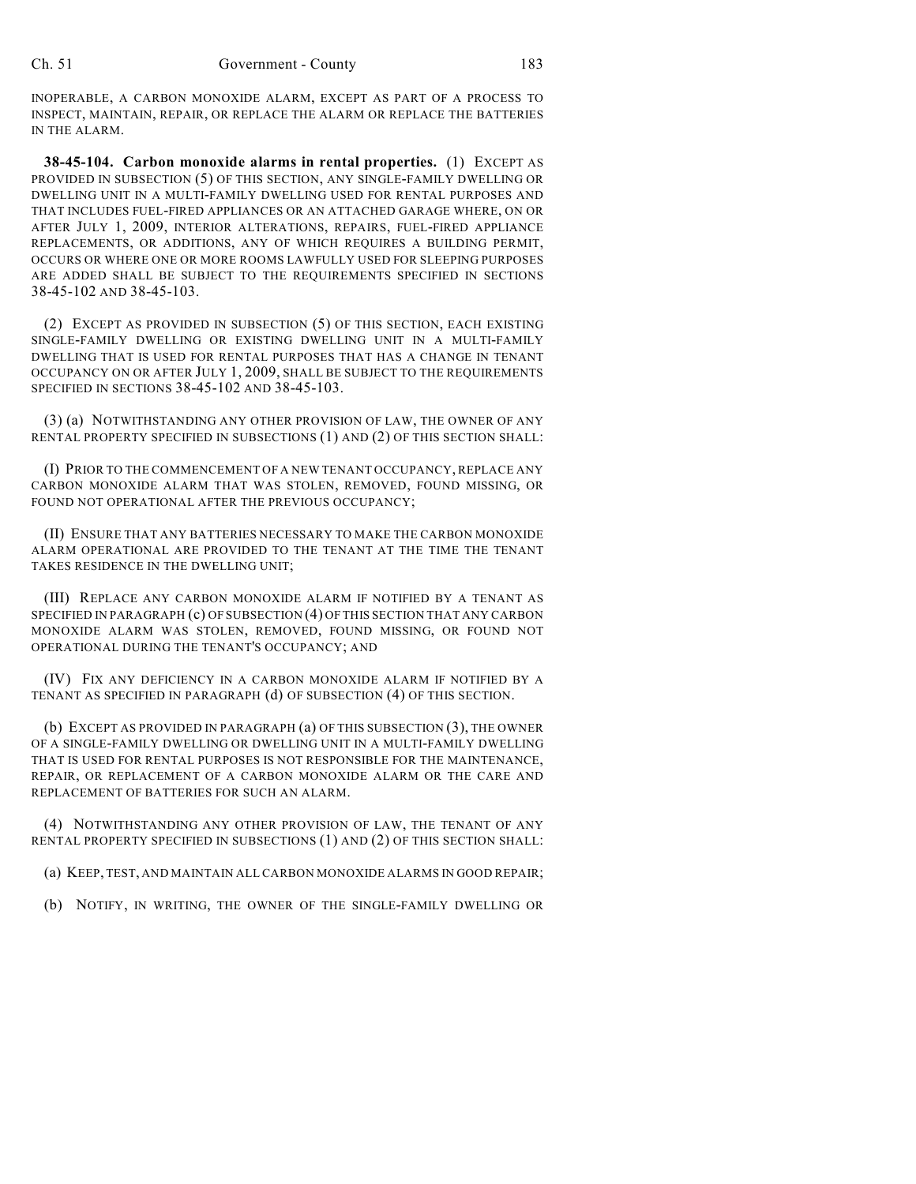INOPERABLE, A CARBON MONOXIDE ALARM, EXCEPT AS PART OF A PROCESS TO INSPECT, MAINTAIN, REPAIR, OR REPLACE THE ALARM OR REPLACE THE BATTERIES IN THE ALARM.

**38-45-104. Carbon monoxide alarms in rental properties.** (1) EXCEPT AS PROVIDED IN SUBSECTION (5) OF THIS SECTION, ANY SINGLE-FAMILY DWELLING OR DWELLING UNIT IN A MULTI-FAMILY DWELLING USED FOR RENTAL PURPOSES AND THAT INCLUDES FUEL-FIRED APPLIANCES OR AN ATTACHED GARAGE WHERE, ON OR AFTER JULY 1, 2009, INTERIOR ALTERATIONS, REPAIRS, FUEL-FIRED APPLIANCE REPLACEMENTS, OR ADDITIONS, ANY OF WHICH REQUIRES A BUILDING PERMIT, OCCURS OR WHERE ONE OR MORE ROOMS LAWFULLY USED FOR SLEEPING PURPOSES ARE ADDED SHALL BE SUBJECT TO THE REQUIREMENTS SPECIFIED IN SECTIONS 38-45-102 AND 38-45-103.

(2) EXCEPT AS PROVIDED IN SUBSECTION (5) OF THIS SECTION, EACH EXISTING SINGLE-FAMILY DWELLING OR EXISTING DWELLING UNIT IN A MULTI-FAMILY DWELLING THAT IS USED FOR RENTAL PURPOSES THAT HAS A CHANGE IN TENANT OCCUPANCY ON OR AFTER JULY 1, 2009, SHALL BE SUBJECT TO THE REQUIREMENTS SPECIFIED IN SECTIONS 38-45-102 AND 38-45-103.

(3) (a) NOTWITHSTANDING ANY OTHER PROVISION OF LAW, THE OWNER OF ANY RENTAL PROPERTY SPECIFIED IN SUBSECTIONS (1) AND (2) OF THIS SECTION SHALL:

(I) PRIOR TO THE COMMENCEMENT OF A NEW TENANT OCCUPANCY, REPLACE ANY CARBON MONOXIDE ALARM THAT WAS STOLEN, REMOVED, FOUND MISSING, OR FOUND NOT OPERATIONAL AFTER THE PREVIOUS OCCUPANCY;

(II) ENSURE THAT ANY BATTERIES NECESSARY TO MAKE THE CARBON MONOXIDE ALARM OPERATIONAL ARE PROVIDED TO THE TENANT AT THE TIME THE TENANT TAKES RESIDENCE IN THE DWELLING UNIT;

(III) REPLACE ANY CARBON MONOXIDE ALARM IF NOTIFIED BY A TENANT AS SPECIFIED IN PARAGRAPH (c) OF SUBSECTION (4) OF THIS SECTION THAT ANY CARBON MONOXIDE ALARM WAS STOLEN, REMOVED, FOUND MISSING, OR FOUND NOT OPERATIONAL DURING THE TENANT'S OCCUPANCY; AND

(IV) FIX ANY DEFICIENCY IN A CARBON MONOXIDE ALARM IF NOTIFIED BY A TENANT AS SPECIFIED IN PARAGRAPH (d) OF SUBSECTION (4) OF THIS SECTION.

(b) EXCEPT AS PROVIDED IN PARAGRAPH (a) OF THIS SUBSECTION (3), THE OWNER OF A SINGLE-FAMILY DWELLING OR DWELLING UNIT IN A MULTI-FAMILY DWELLING THAT IS USED FOR RENTAL PURPOSES IS NOT RESPONSIBLE FOR THE MAINTENANCE, REPAIR, OR REPLACEMENT OF A CARBON MONOXIDE ALARM OR THE CARE AND REPLACEMENT OF BATTERIES FOR SUCH AN ALARM.

(4) NOTWITHSTANDING ANY OTHER PROVISION OF LAW, THE TENANT OF ANY RENTAL PROPERTY SPECIFIED IN SUBSECTIONS (1) AND (2) OF THIS SECTION SHALL:

(a) KEEP, TEST, AND MAINTAIN ALL CARBON MONOXIDE ALARMS IN GOOD REPAIR;

(b) NOTIFY, IN WRITING, THE OWNER OF THE SINGLE-FAMILY DWELLING OR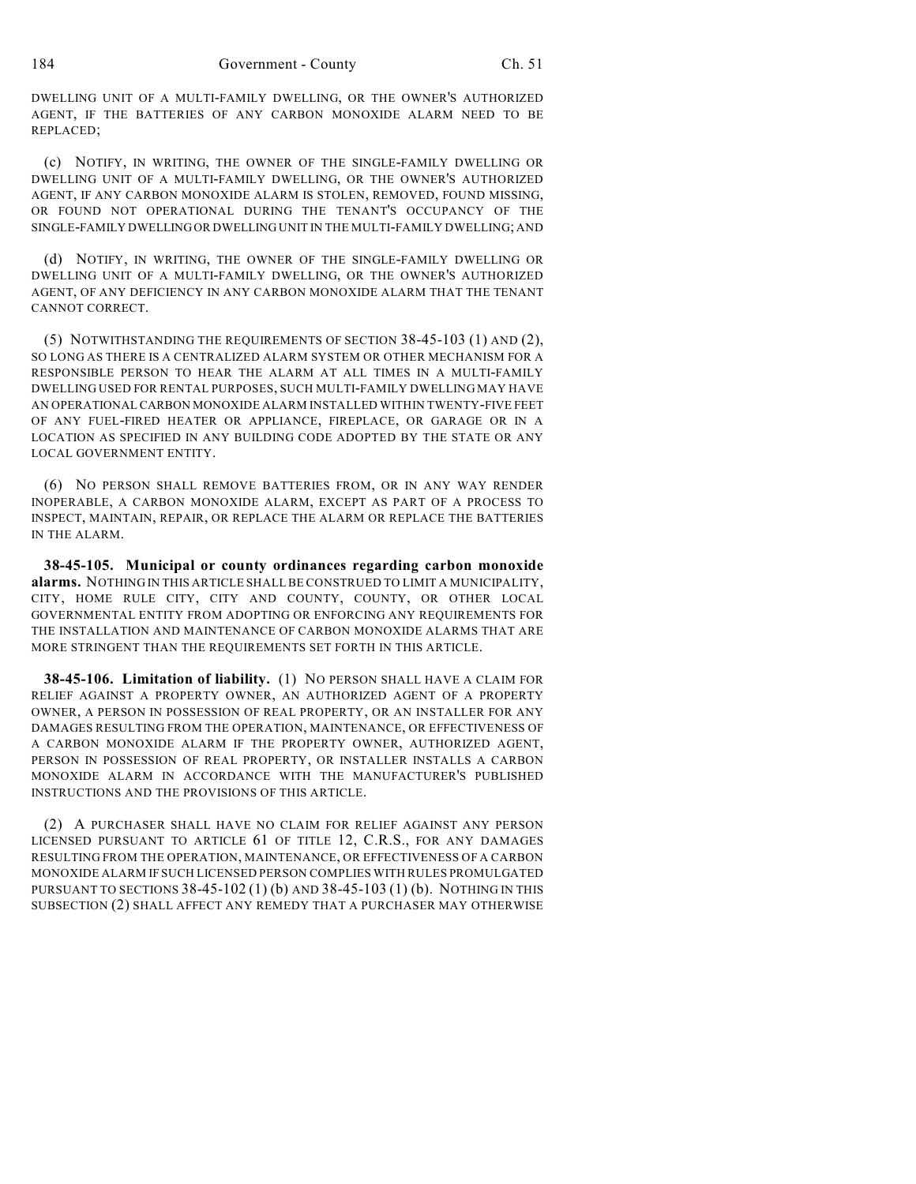DWELLING UNIT OF A MULTI-FAMILY DWELLING, OR THE OWNER'S AUTHORIZED AGENT, IF THE BATTERIES OF ANY CARBON MONOXIDE ALARM NEED TO BE REPLACED;

(c) NOTIFY, IN WRITING, THE OWNER OF THE SINGLE-FAMILY DWELLING OR DWELLING UNIT OF A MULTI-FAMILY DWELLING, OR THE OWNER'S AUTHORIZED AGENT, IF ANY CARBON MONOXIDE ALARM IS STOLEN, REMOVED, FOUND MISSING, OR FOUND NOT OPERATIONAL DURING THE TENANT'S OCCUPANCY OF THE SINGLE-FAMILY DWELLING OR DWELLING UNIT IN THE MULTI-FAMILY DWELLING; AND

(d) NOTIFY, IN WRITING, THE OWNER OF THE SINGLE-FAMILY DWELLING OR DWELLING UNIT OF A MULTI-FAMILY DWELLING, OR THE OWNER'S AUTHORIZED AGENT, OF ANY DEFICIENCY IN ANY CARBON MONOXIDE ALARM THAT THE TENANT CANNOT CORRECT.

(5) NOTWITHSTANDING THE REQUIREMENTS OF SECTION 38-45-103 (1) AND (2), SO LONG AS THERE IS A CENTRALIZED ALARM SYSTEM OR OTHER MECHANISM FOR A RESPONSIBLE PERSON TO HEAR THE ALARM AT ALL TIMES IN A MULTI-FAMILY DWELLING USED FOR RENTAL PURPOSES, SUCH MULTI-FAMILY DWELLING MAY HAVE AN OPERATIONAL CARBON MONOXIDE ALARM INSTALLED WITHIN TWENTY-FIVE FEET OF ANY FUEL-FIRED HEATER OR APPLIANCE, FIREPLACE, OR GARAGE OR IN A LOCATION AS SPECIFIED IN ANY BUILDING CODE ADOPTED BY THE STATE OR ANY LOCAL GOVERNMENT ENTITY.

(6) NO PERSON SHALL REMOVE BATTERIES FROM, OR IN ANY WAY RENDER INOPERABLE, A CARBON MONOXIDE ALARM, EXCEPT AS PART OF A PROCESS TO INSPECT, MAINTAIN, REPAIR, OR REPLACE THE ALARM OR REPLACE THE BATTERIES IN THE ALARM.

**38-45-105. Municipal or county ordinances regarding carbon monoxide alarms.** NOTHING IN THIS ARTICLE SHALL BE CONSTRUED TO LIMIT A MUNICIPALITY, CITY, HOME RULE CITY, CITY AND COUNTY, COUNTY, OR OTHER LOCAL GOVERNMENTAL ENTITY FROM ADOPTING OR ENFORCING ANY REQUIREMENTS FOR THE INSTALLATION AND MAINTENANCE OF CARBON MONOXIDE ALARMS THAT ARE MORE STRINGENT THAN THE REQUIREMENTS SET FORTH IN THIS ARTICLE.

**38-45-106. Limitation of liability.** (1) NO PERSON SHALL HAVE A CLAIM FOR RELIEF AGAINST A PROPERTY OWNER, AN AUTHORIZED AGENT OF A PROPERTY OWNER, A PERSON IN POSSESSION OF REAL PROPERTY, OR AN INSTALLER FOR ANY DAMAGES RESULTING FROM THE OPERATION, MAINTENANCE, OR EFFECTIVENESS OF A CARBON MONOXIDE ALARM IF THE PROPERTY OWNER, AUTHORIZED AGENT, PERSON IN POSSESSION OF REAL PROPERTY, OR INSTALLER INSTALLS A CARBON MONOXIDE ALARM IN ACCORDANCE WITH THE MANUFACTURER'S PUBLISHED INSTRUCTIONS AND THE PROVISIONS OF THIS ARTICLE.

(2) A PURCHASER SHALL HAVE NO CLAIM FOR RELIEF AGAINST ANY PERSON LICENSED PURSUANT TO ARTICLE 61 OF TITLE 12, C.R.S., FOR ANY DAMAGES RESULTING FROM THE OPERATION, MAINTENANCE, OR EFFECTIVENESS OF A CARBON MONOXIDE ALARM IF SUCH LICENSED PERSON COMPLIES WITH RULES PROMULGATED PURSUANT TO SECTIONS 38-45-102 (1) (b) AND 38-45-103 (1) (b). NOTHING IN THIS SUBSECTION (2) SHALL AFFECT ANY REMEDY THAT A PURCHASER MAY OTHERWISE